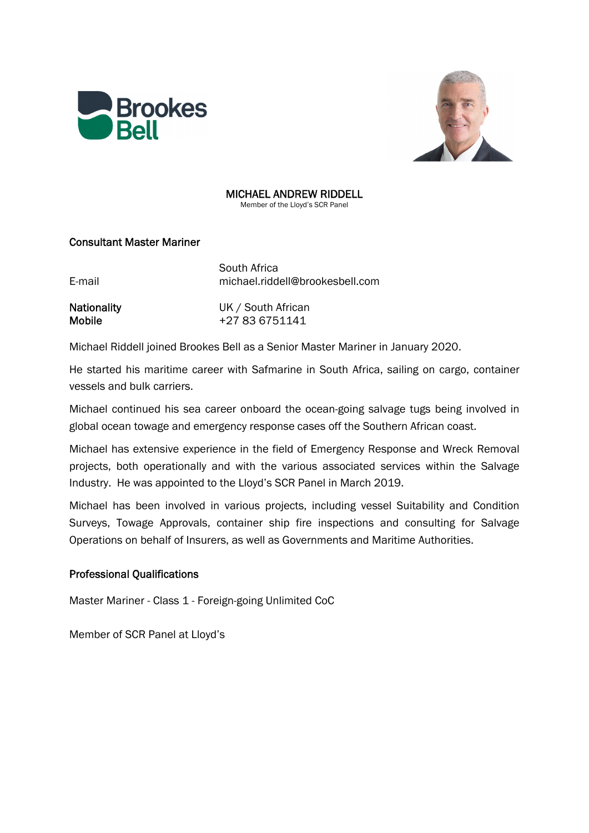



# MICHAEL ANDREW RIDDELL

Member of the Lloyd's SCR Panel

## Consultant Master Mariner

| E-mail             | South Africa<br>michael.riddell@brookesbell.com |
|--------------------|-------------------------------------------------|
| <b>Nationality</b> | UK / South African                              |

Mobile  $+27836751141$ 

Michael Riddell joined Brookes Bell as a Senior Master Mariner in January 2020.

He started his maritime career with Safmarine in South Africa, sailing on cargo, container vessels and bulk carriers.

Michael continued his sea career onboard the ocean-going salvage tugs being involved in global ocean towage and emergency response cases off the Southern African coast.

Michael has extensive experience in the field of Emergency Response and Wreck Removal projects, both operationally and with the various associated services within the Salvage Industry. He was appointed to the Lloyd's SCR Panel in March 2019.

Michael has been involved in various projects, including vessel Suitability and Condition Surveys, Towage Approvals, container ship fire inspections and consulting for Salvage Operations on behalf of Insurers, as well as Governments and Maritime Authorities.

## Professional Qualifications

Master Mariner - Class 1 - Foreign-going Unlimited CoC

Member of SCR Panel at Lloyd's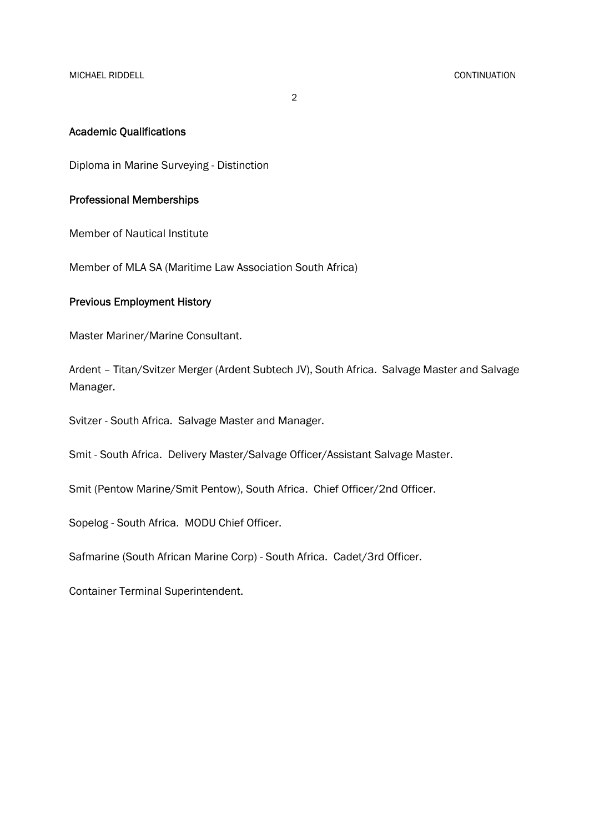2

#### Academic Qualifications

Diploma in Marine Surveying - Distinction

#### Professional Memberships

Member of Nautical Institute

Member of MLA SA (Maritime Law Association South Africa)

### Previous Employment History

Master Mariner/Marine Consultant.

Ardent – Titan/Svitzer Merger (Ardent Subtech JV), South Africa. Salvage Master and Salvage Manager.

Svitzer - South Africa. Salvage Master and Manager.

Smit - South Africa. Delivery Master/Salvage Officer/Assistant Salvage Master.

Smit (Pentow Marine/Smit Pentow), South Africa. Chief Officer/2nd Officer.

Sopelog - South Africa. MODU Chief Officer.

Safmarine (South African Marine Corp) - South Africa. Cadet/3rd Officer.

Container Terminal Superintendent.